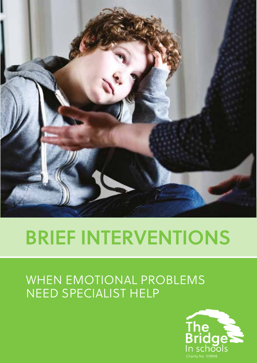

# **BRIEF INTERVENTIONS**

## WHEN EMOTIONAL PROBLEMS NEED SPECIALIST HELP

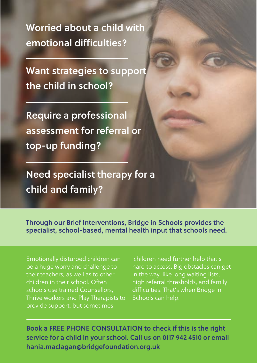**Worried about a child with emotional difficulties?**

**Want strategies to support the child in school?**

**Require a professional assessment for referral or top-up funding?**

**Need specialist therapy for a child and family?**

**Through our Brief Interventions, Bridge in Schools provides the specialist, school-based, mental health input that schools need.**

Emotionally disturbed children can be a huge worry and challenge to their teachers, as well as to other children in their school. Often schools use trained Counsellors, Thrive workers and Play Therapists to provide support, but sometimes

children need further help that's hard to access. Big obstacles can get in the way, like long waiting lists, high referral thresholds, and family difficulties. That's when Bridge in Schools can help.

**Book a FREE PHONE CONSULTATION to check if this is the right service for a child in your school. Call us on 0117 942 4510 or email hania.maclagan@bridgefoundation.org.uk**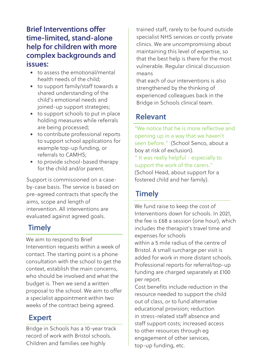#### **Brief Interventions offer time-limited, stand-alone help for children with more complex backgrounds and issues:**

- to assess the emotional/mental health needs of the child;
- to support family/staff towards a shared understanding of the child's emotional needs and joined-up support strategies;
- to support schools to put in place holding measures while referrals are being processed;
- to contribute professional reports to support school applications for example top-up funding, or referrals to CAMHS;
- to provide school-based therapy for the child and/or parent.

Support is commissioned on a caseby-case basis. The service is based on pre-agreed contracts that specify the aims, scope and length of intervention. All interventions are evaluated against agreed goals.

#### **Timely**

We aim to respond to Brief Intervention requests within a week of contact. The starting point is a phone consultation with the school to get the context, establish the main concerns, who should be involved and what the budget is. Then we send a written proposal to the school. We aim to offer a specialist appointment within two weeks of the contract being agreed.

#### **Expert**

Bridge in Schools has a 10-year track record of work with Bristol schools. Children and families see highly

trained staff, rarely to be found outside specialist NHS services or costly private clinics. We are uncompromising about maintaining this level of expertise, so that the best help is there for the most vulnerable. Regular clinical discussion means

that each of our interventions is also strengthened by the thinking of experienced colleagues back in the Bridge in Schools clinical team.

#### **Relevant**

"We notice that he is more reflective and opening up in a way that we haven't seen before." (School Senco, about a boy at risk of exclusion). " It was really helpful - especially to support the work of the carers." (School Head, about support for a fostered child and her family).

#### **Timely**

We fund raise to keep the cost of Interventions down for schools. In 2021, the fee is £68 a session (one hour), which includes the therapist's travel time and expenses for schools within a 5 mile radius of the centre of Bristol. A small surcharge per visit is added for work in more distant schools. Professional reports for referral/top-up funding are charged separately at £100 per report.

Cost benefits include reduction in the resource needed to support the child out of class, or to fund alternative educational provision; reduction in stress-related staff absence and staff support costs; increased access to other resources through eg engagement of other services, top-up funding, etc.